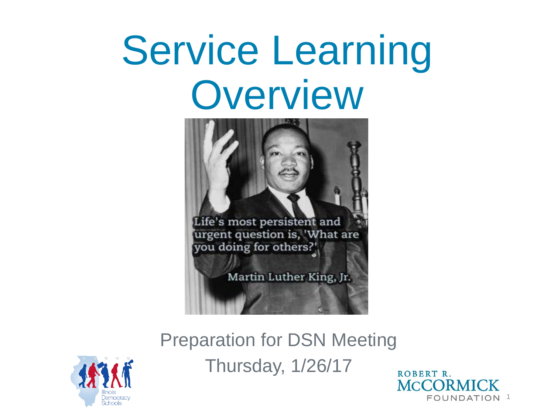# Service Learning **Overview**



Preparation for DSN Meeting Thursday, 1/26/17



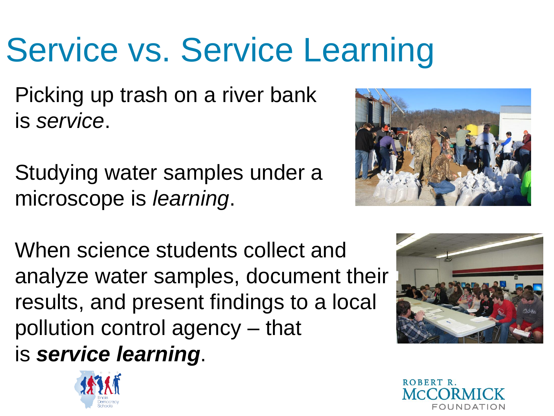### Service vs. Service Learning

Picking up trash on a river bank is *service*.

Studying water samples under a microscope is *learning*.



When science students collect and analyze water samples, document their results, and present findings to a local pollution control agency – that is *service learning*.





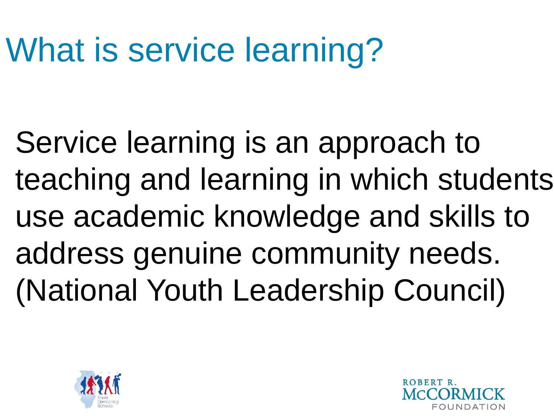### What is service learning?

Service learning is an approach to teaching and learning in which students use academic knowledge and skills to address genuine community needs. (National Youth Leadership Council)



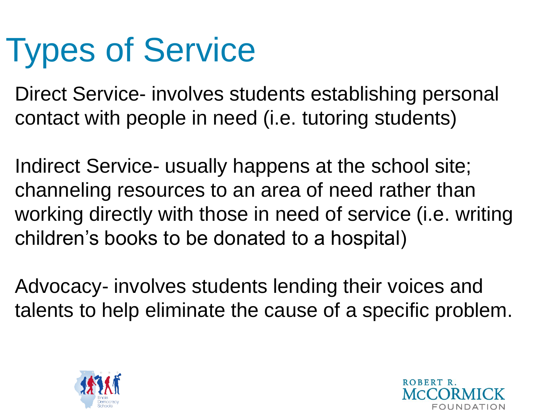### Types of Service

Direct Service- involves students establishing personal contact with people in need (i.e. tutoring students)

Indirect Service- usually happens at the school site; channeling resources to an area of need rather than working directly with those in need of service (i.e. writing children's books to be donated to a hospital)

Advocacy- involves students lending their voices and talents to help eliminate the cause of a specific problem.



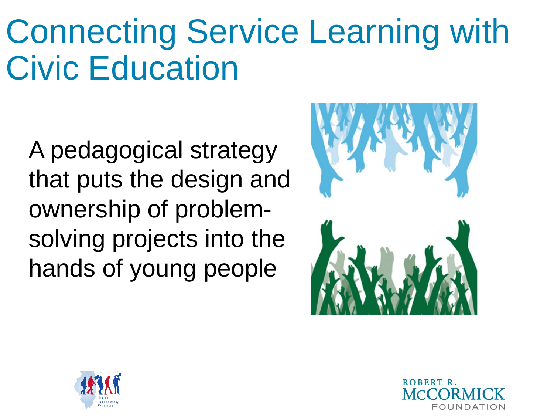#### Connecting Service Learning with Civic Education

A pedagogical strategy that puts the design and ownership of problemsolving projects into the hands of young people





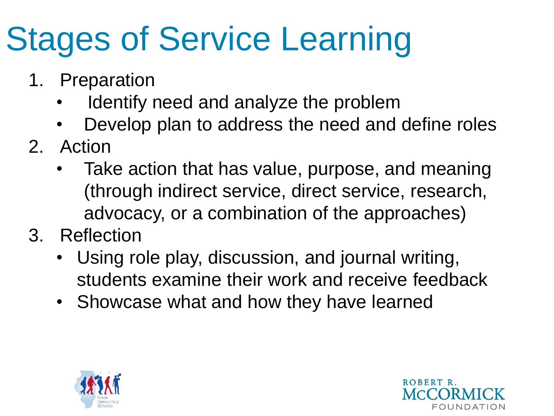## Stages of Service Learning

- 1. Preparation
	- Identify need and analyze the problem
	- Develop plan to address the need and define roles
- 2. Action
	- Take action that has value, purpose, and meaning (through indirect service, direct service, research, advocacy, or a combination of the approaches)
- 3. Reflection
	- Using role play, discussion, and journal writing, students examine their work and receive feedback
	- Showcase what and how they have learned



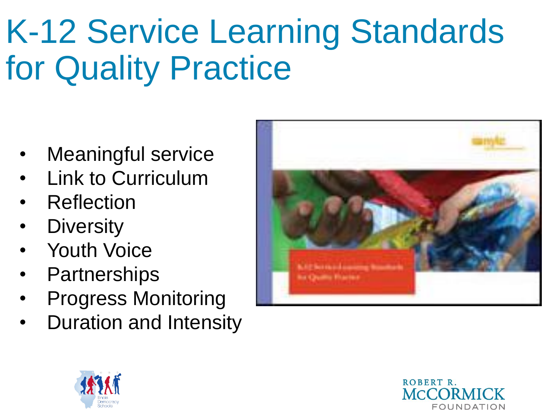#### K-12 Service Learning Standards for Quality Practice

- Meaningful service
- Link to Curriculum
- **Reflection**
- **Diversity**
- Youth Voice
- **Partnerships**
- Progress Monitoring
- Duration and Intensity





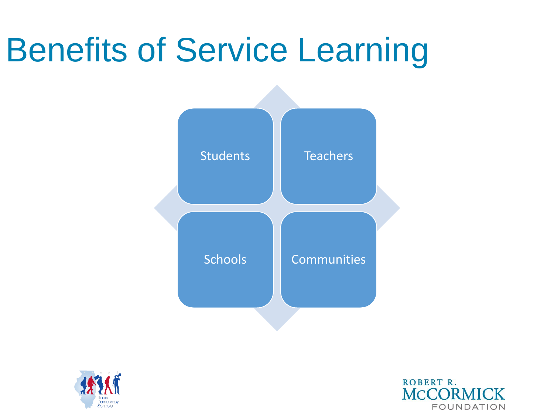#### Benefits of Service Learning





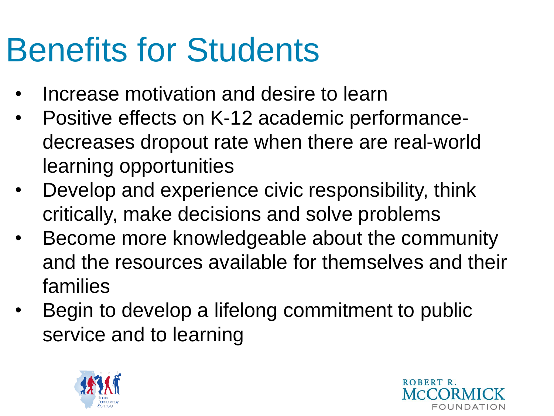#### Benefits for Students

- Increase motivation and desire to learn
- Positive effects on K-12 academic performancedecreases dropout rate when there are real-world learning opportunities
- Develop and experience civic responsibility, think critically, make decisions and solve problems
- Become more knowledgeable about the community and the resources available for themselves and their families
- Begin to develop a lifelong commitment to public service and to learning



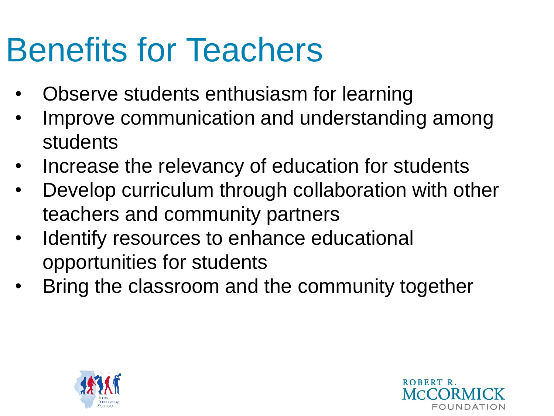#### Benefits for Teachers

- Observe students enthusiasm for learning
- Improve communication and understanding among students
- Increase the relevancy of education for students
- Develop curriculum through collaboration with other teachers and community partners
- Identify resources to enhance educational opportunities for students
- Bring the classroom and the community together



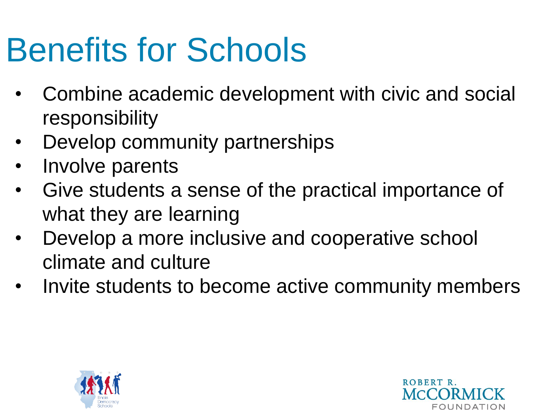#### Benefits for Schools

- Combine academic development with civic and social responsibility
- Develop community partnerships
- Involve parents
- Give students a sense of the practical importance of what they are learning
- Develop a more inclusive and cooperative school climate and culture
- Invite students to become active community members



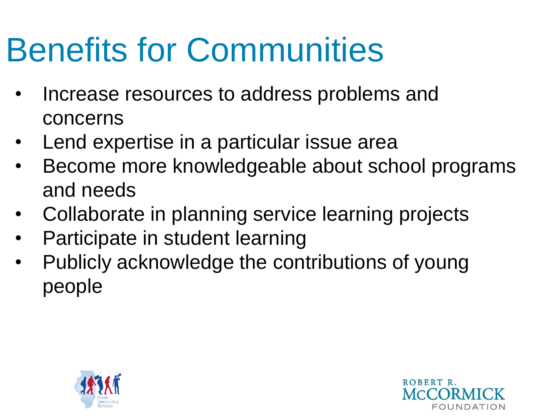#### Benefits for Communities

- Increase resources to address problems and concerns
- Lend expertise in a particular issue area
- Become more knowledgeable about school programs and needs
- Collaborate in planning service learning projects
- Participate in student learning
- Publicly acknowledge the contributions of young people



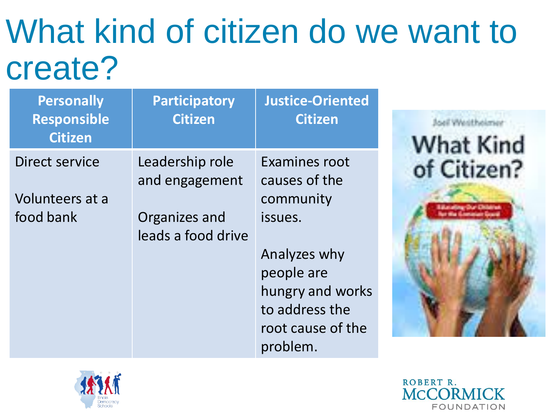#### What kind of citizen do we want to create?

| <b>Personally</b><br><b>Responsible</b><br><b>Citizen</b> | <b>Participatory</b><br><b>Citizen</b> | <b>Justice-Oriented</b><br><b>Citizen</b> |
|-----------------------------------------------------------|----------------------------------------|-------------------------------------------|
| Direct service                                            | Leadership role<br>and engagement      | Examines root<br>causes of the            |
| Volunteers at a                                           |                                        | community                                 |
| food bank                                                 | Organizes and<br>leads a food drive    | issues.                                   |
|                                                           |                                        | Analyzes why                              |
|                                                           |                                        | people are                                |
|                                                           |                                        | hungry and works                          |
|                                                           |                                        | to address the                            |
|                                                           |                                        | root cause of the                         |
|                                                           |                                        | problem.                                  |